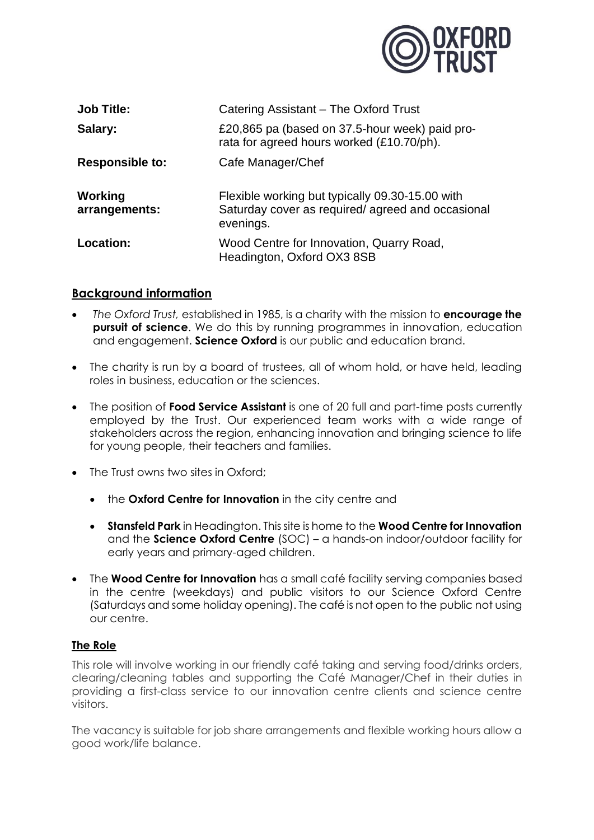

| <b>Job Title:</b>        | Catering Assistant – The Oxford Trust                                                                            |
|--------------------------|------------------------------------------------------------------------------------------------------------------|
| Salary:                  | £20,865 pa (based on 37.5-hour week) paid pro-<br>rata for agreed hours worked (£10.70/ph).                      |
| <b>Responsible to:</b>   | Cafe Manager/Chef                                                                                                |
| Working<br>arrangements: | Flexible working but typically 09.30-15.00 with<br>Saturday cover as required/agreed and occasional<br>evenings. |
| Location:                | Wood Centre for Innovation, Quarry Road,<br>Headington, Oxford OX3 8SB                                           |

# **Background information**

- *The Oxford Trust,* established in 1985, is a charity with the mission to **encourage the pursuit of science**. We do this by running programmes in innovation, education and engagement. **Science Oxford** is our public and education brand.
- The charity is run by a board of trustees, all of whom hold, or have held, leading roles in business, education or the sciences.
- The position of **Food Service Assistant** is one of 20 full and part-time posts currently employed by the Trust. Our experienced team works with a wide range of stakeholders across the region, enhancing innovation and bringing science to life for young people, their teachers and families.
- The Trust owns two sites in Oxford;
	- the **Oxford Centre for Innovation** in the city centre and
	- **Stansfeld Park** in Headington. This site is home to the **Wood Centre for Innovation** and the **Science Oxford Centre** (SOC) – a hands-on indoor/outdoor facility for early years and primary-aged children.
- The **Wood Centre for Innovation** has a small café facility serving companies based in the centre (weekdays) and public visitors to our Science Oxford Centre (Saturdays and some holiday opening). The café is not open to the public not using our centre.

# **The Role**

This role will involve working in our friendly café taking and serving food/drinks orders, clearing/cleaning tables and supporting the Café Manager/Chef in their duties in providing a first-class service to our innovation centre clients and science centre visitors.

The vacancy is suitable for job share arrangements and flexible working hours allow a good work/life balance.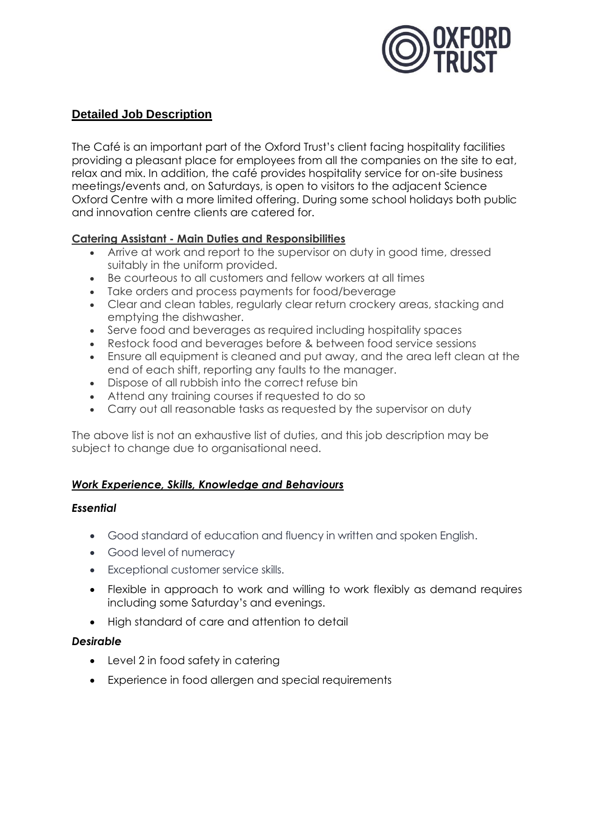

# **Detailed Job Description**

The Café is an important part of the Oxford Trust's client facing hospitality facilities providing a pleasant place for employees from all the companies on the site to eat, relax and mix. In addition, the café provides hospitality service for on-site business meetings/events and, on Saturdays, is open to visitors to the adjacent Science Oxford Centre with a more limited offering. During some school holidays both public and innovation centre clients are catered for.

#### **Catering Assistant - Main Duties and Responsibilities**

- Arrive at work and report to the supervisor on duty in good time, dressed suitably in the uniform provided.
- Be courteous to all customers and fellow workers at all times
- Take orders and process payments for food/beverage
- Clear and clean tables, regularly clear return crockery areas, stacking and emptying the dishwasher.
- Serve food and beverages as required including hospitality spaces
- Restock food and beverages before & between food service sessions
- Ensure all equipment is cleaned and put away, and the area left clean at the end of each shift, reporting any faults to the manager.
- Dispose of all rubbish into the correct refuse bin
- Attend any training courses if requested to do so
- Carry out all reasonable tasks as requested by the supervisor on duty

The above list is not an exhaustive list of duties, and this job description may be subject to change due to organisational need.

# *Work Experience, Skills, Knowledge and Behaviours*

#### *Essential*

- Good standard of education and fluency in written and spoken English.
- Good level of numeracy
- Exceptional customer service skills.
- Flexible in approach to work and willing to work flexibly as demand requires including some Saturday's and evenings.
- High standard of care and attention to detail

#### *Desirable*

- Level 2 in food safety in catering
- Experience in food allergen and special requirements